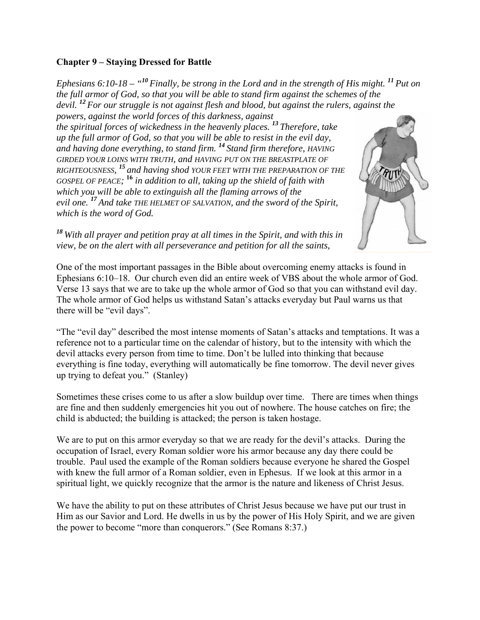### **Chapter 9 – Staying Dressed for Battle**

*Ephesians 6:10-18 – "<sup>10</sup>Finally, be strong in the Lord and in the strength of His might. <sup>11</sup>Put on the full armor of God, so that you will be able to stand firm against the schemes of the devil. <sup>12</sup>For our struggle is not against flesh and blood, but against the rulers, against the powers, against the world forces of this darkness, against the spiritual forces of wickedness in the heavenly places. <sup>13</sup>Therefore, take up the full armor of God, so that you will be able to resist in the evil day, and having done everything, to stand firm. <sup>14</sup>Stand firm therefore, HAVING GIRDED YOUR LOINS WITH TRUTH, and HAVING PUT ON THE BREASTPLATE OF RIGHTEOUSNESS, <sup>15</sup>and having shod YOUR FEET WITH THE PREPARATION OF THE GOSPEL OF PEACE;*  **<sup>16</sup>** *in addition to all, taking up the shield of faith with which you will be able to extinguish all the flaming arrows of the evil one. <sup>17</sup>And take THE HELMET OF SALVATION, and the sword of the Spirit, which is the word of God.* 

*<sup>18</sup>With all prayer and petition pray at all times in the Spirit, and with this in view, be on the alert with all perseverance and petition for all the saints,* 

One of the most important passages in the Bible about overcoming enemy attacks is found in Ephesians 6:10–18. Our church even did an entire week of VBS about the whole armor of God. Verse 13 says that we are to take up the whole armor of God so that you can withstand evil day. The whole armor of God helps us withstand Satan's attacks everyday but Paul warns us that there will be "evil days".

"The "evil day" described the most intense moments of Satan's attacks and temptations. It was a reference not to a particular time on the calendar of history, but to the intensity with which the devil attacks every person from time to time. Don't be lulled into thinking that because everything is fine today, everything will automatically be fine tomorrow. The devil never gives up trying to defeat you." (Stanley)

Sometimes these crises come to us after a slow buildup over time. There are times when things are fine and then suddenly emergencies hit you out of nowhere. The house catches on fire; the child is abducted; the building is attacked; the person is taken hostage.

We are to put on this armor everyday so that we are ready for the devil's attacks. During the occupation of Israel, every Roman soldier wore his armor because any day there could be trouble. Paul used the example of the Roman soldiers because everyone he shared the Gospel with knew the full armor of a Roman soldier, even in Ephesus. If we look at this armor in a spiritual light, we quickly recognize that the armor is the nature and likeness of Christ Jesus.

We have the ability to put on these attributes of Christ Jesus because we have put our trust in Him as our Savior and Lord. He dwells in us by the power of His Holy Spirit, and we are given the power to become "more than conquerors." (See Romans 8:37.)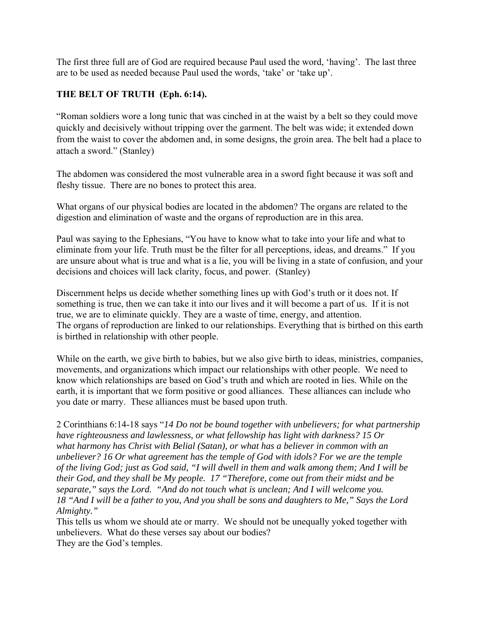The first three full are of God are required because Paul used the word, 'having'. The last three are to be used as needed because Paul used the words, 'take' or 'take up'.

## **THE BELT OF TRUTH (Eph. 6:14).**

"Roman soldiers wore a long tunic that was cinched in at the waist by a belt so they could move quickly and decisively without tripping over the garment. The belt was wide; it extended down from the waist to cover the abdomen and, in some designs, the groin area. The belt had a place to attach a sword." (Stanley)

The abdomen was considered the most vulnerable area in a sword fight because it was soft and fleshy tissue. There are no bones to protect this area.

What organs of our physical bodies are located in the abdomen? The organs are related to the digestion and elimination of waste and the organs of reproduction are in this area.

Paul was saying to the Ephesians, "You have to know what to take into your life and what to eliminate from your life. Truth must be the filter for all perceptions, ideas, and dreams." If you are unsure about what is true and what is a lie, you will be living in a state of confusion, and your decisions and choices will lack clarity, focus, and power. (Stanley)

Discernment helps us decide whether something lines up with God's truth or it does not. If something is true, then we can take it into our lives and it will become a part of us. If it is not true, we are to eliminate quickly. They are a waste of time, energy, and attention. The organs of reproduction are linked to our relationships. Everything that is birthed on this earth is birthed in relationship with other people.

While on the earth, we give birth to babies, but we also give birth to ideas, ministries, companies, movements, and organizations which impact our relationships with other people. We need to know which relationships are based on God's truth and which are rooted in lies. While on the earth, it is important that we form positive or good alliances. These alliances can include who you date or marry. These alliances must be based upon truth.

2 Corinthians 6:14-18 says "*14 Do not be bound together with unbelievers; for what partnership have righteousness and lawlessness, or what fellowship has light with darkness? 15 Or what harmony has Christ with Belial (Satan), or what has a believer in common with an unbeliever? 16 Or what agreement has the temple of God with idols? For we are the temple of the living God; just as God said, "I will dwell in them and walk among them; And I will be their God, and they shall be My people. 17 "Therefore, come out from their midst and be separate," says the Lord. "And do not touch what is unclean; And I will welcome you. 18 "And I will be a father to you, And you shall be sons and daughters to Me," Says the Lord Almighty."*

This tells us whom we should ate or marry. We should not be unequally yoked together with unbelievers. What do these verses say about our bodies? They are the God's temples.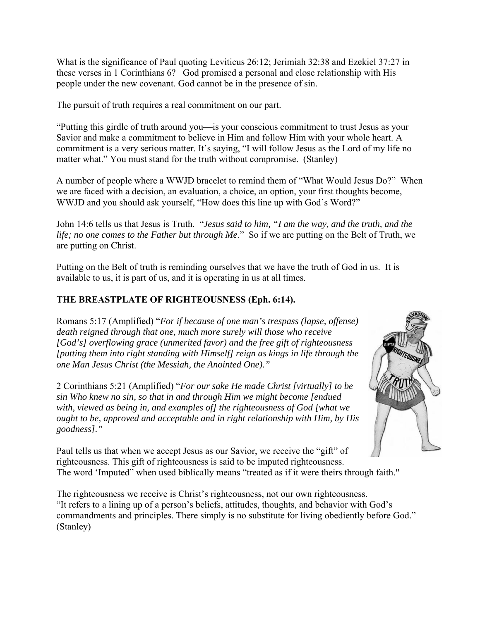What is the significance of Paul quoting Leviticus 26:12; Jerimiah 32:38 and Ezekiel 37:27 in these verses in 1 Corinthians 6? God promised a personal and close relationship with His people under the new covenant. God cannot be in the presence of sin.

The pursuit of truth requires a real commitment on our part.

"Putting this girdle of truth around you—is your conscious commitment to trust Jesus as your Savior and make a commitment to believe in Him and follow Him with your whole heart. A commitment is a very serious matter. It's saying, "I will follow Jesus as the Lord of my life no matter what." You must stand for the truth without compromise. (Stanley)

A number of people where a WWJD bracelet to remind them of "What Would Jesus Do?" When we are faced with a decision, an evaluation, a choice, an option, your first thoughts become, WWJD and you should ask yourself, "How does this line up with God's Word?"

John 14:6 tells us that Jesus is Truth. "*Jesus said to him, "I am the way, and the truth, and the life; no one comes to the Father but through Me*." So if we are putting on the Belt of Truth, we are putting on Christ.

Putting on the Belt of truth is reminding ourselves that we have the truth of God in us. It is available to us, it is part of us, and it is operating in us at all times.

# **THE BREASTPLATE OF RIGHTEOUSNESS (Eph. 6:14).**

Romans 5:17 (Amplified) "*For if because of one man's trespass (lapse, offense) death reigned through that one, much more surely will those who receive [God's] overflowing grace (unmerited favor) and the free gift of righteousness [putting them into right standing with Himself] reign as kings in life through the one Man Jesus Christ (the Messiah, the Anointed One)."* 

2 Corinthians 5:21 (Amplified) "*For our sake He made Christ [virtually] to be sin Who knew no sin, so that in and through Him we might become [endued with, viewed as being in, and examples of] the righteousness of God [what we ought to be, approved and acceptable and in right relationship with Him, by His goodness]."*



Paul tells us that when we accept Jesus as our Savior, we receive the "gift" of righteousness. This gift of righteousness is said to be imputed righteousness. The word 'Imputed" when used biblically means "treated as if it were theirs through faith."

The righteousness we receive is Christ's righteousness, not our own righteousness. "It refers to a lining up of a person's beliefs, attitudes, thoughts, and behavior with God's commandments and principles. There simply is no substitute for living obediently before God." (Stanley)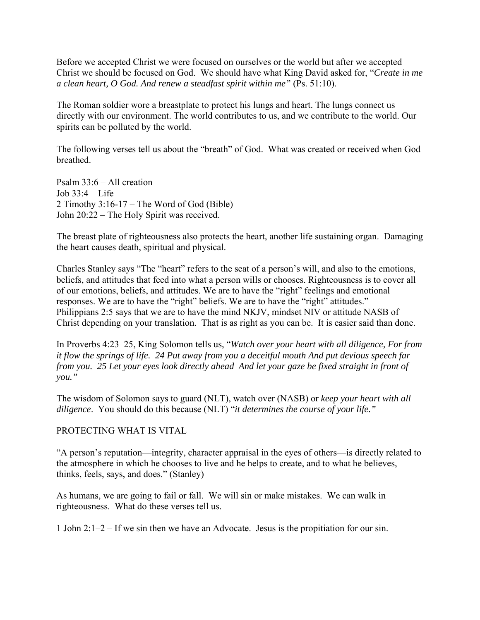Before we accepted Christ we were focused on ourselves or the world but after we accepted Christ we should be focused on God. We should have what King David asked for, "*Create in me a clean heart, O God. And renew a steadfast spirit within me"* (Ps. 51:10).

The Roman soldier wore a breastplate to protect his lungs and heart. The lungs connect us directly with our environment. The world contributes to us, and we contribute to the world. Our spirits can be polluted by the world.

The following verses tell us about the "breath" of God. What was created or received when God breathed.

Psalm 33:6 – All creation Job 33:4 – Life 2 Timothy 3:16-17 – The Word of God (Bible) John 20:22 – The Holy Spirit was received.

The breast plate of righteousness also protects the heart, another life sustaining organ. Damaging the heart causes death, spiritual and physical.

Charles Stanley says "The "heart" refers to the seat of a person's will, and also to the emotions, beliefs, and attitudes that feed into what a person wills or chooses. Righteousness is to cover all of our emotions, beliefs, and attitudes. We are to have the "right" feelings and emotional responses. We are to have the "right" beliefs. We are to have the "right" attitudes." Philippians 2:5 says that we are to have the mind NKJV, mindset NIV or attitude NASB of Christ depending on your translation. That is as right as you can be. It is easier said than done.

In Proverbs 4:23–25, King Solomon tells us, "*Watch over your heart with all diligence, For from it flow the springs of life. 24 Put away from you a deceitful mouth And put devious speech far from you. 25 Let your eyes look directly ahead And let your gaze be fixed straight in front of you."* 

The wisdom of Solomon says to guard (NLT), watch over (NASB) or *keep your heart with all diligence*. You should do this because (NLT) "*it determines the course of your life."* 

#### PROTECTING WHAT IS VITAL

"A person's reputation—integrity, character appraisal in the eyes of others—is directly related to the atmosphere in which he chooses to live and he helps to create, and to what he believes, thinks, feels, says, and does." (Stanley)

As humans, we are going to fail or fall. We will sin or make mistakes. We can walk in righteousness. What do these verses tell us.

1 John 2:1–2 – If we sin then we have an Advocate. Jesus is the propitiation for our sin.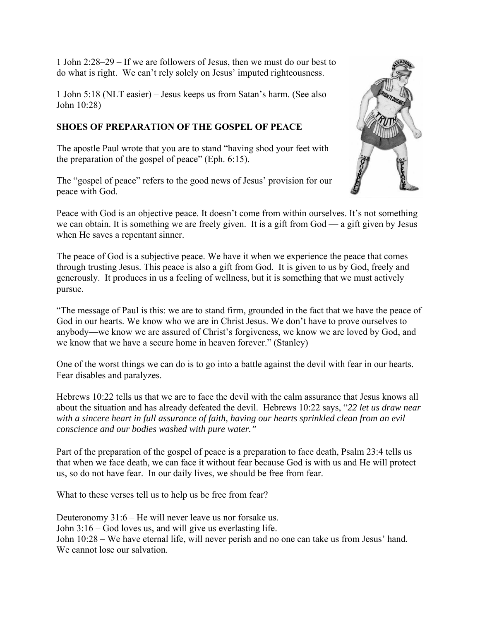1 John 2:28–29 – If we are followers of Jesus, then we must do our best to do what is right. We can't rely solely on Jesus' imputed righteousness.

1 John 5:18 (NLT easier) – Jesus keeps us from Satan's harm. (See also John 10:28)

## **SHOES OF PREPARATION OF THE GOSPEL OF PEACE**

The apostle Paul wrote that you are to stand "having shod your feet with the preparation of the gospel of peace" (Eph. 6:15).

The "gospel of peace" refers to the good news of Jesus' provision for our peace with God.



Peace with God is an objective peace. It doesn't come from within ourselves. It's not something we can obtain. It is something we are freely given. It is a gift from God — a gift given by Jesus when He saves a repentant sinner.

The peace of God is a subjective peace. We have it when we experience the peace that comes through trusting Jesus. This peace is also a gift from God. It is given to us by God, freely and generously. It produces in us a feeling of wellness, but it is something that we must actively pursue.

"The message of Paul is this: we are to stand firm, grounded in the fact that we have the peace of God in our hearts. We know who we are in Christ Jesus. We don't have to prove ourselves to anybody—we know we are assured of Christ's forgiveness, we know we are loved by God, and we know that we have a secure home in heaven forever." (Stanley)

One of the worst things we can do is to go into a battle against the devil with fear in our hearts. Fear disables and paralyzes.

Hebrews 10:22 tells us that we are to face the devil with the calm assurance that Jesus knows all about the situation and has already defeated the devil. Hebrews 10:22 says, "*22 let us draw near with a sincere heart in full assurance of faith, having our hearts sprinkled clean from an evil conscience and our bodies washed with pure water."* 

Part of the preparation of the gospel of peace is a preparation to face death, Psalm 23:4 tells us that when we face death, we can face it without fear because God is with us and He will protect us, so do not have fear. In our daily lives, we should be free from fear.

What to these verses tell us to help us be free from fear?

Deuteronomy 31:6 – He will never leave us nor forsake us. John 3:16 – God loves us, and will give us everlasting life. John 10:28 – We have eternal life, will never perish and no one can take us from Jesus' hand. We cannot lose our salvation.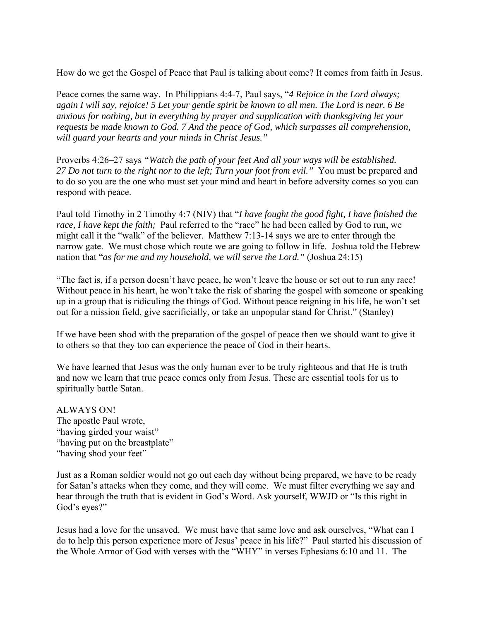How do we get the Gospel of Peace that Paul is talking about come? It comes from faith in Jesus.

Peace comes the same way. In Philippians 4:4-7, Paul says, "*4 Rejoice in the Lord always; again I will say, rejoice! 5 Let your gentle spirit be known to all men. The Lord is near. 6 Be anxious for nothing, but in everything by prayer and supplication with thanksgiving let your requests be made known to God. 7 And the peace of God, which surpasses all comprehension, will guard your hearts and your minds in Christ Jesus."* 

Proverbs 4:26–27 says *"Watch the path of your feet And all your ways will be established. 27 Do not turn to the right nor to the left; Turn your foot from evil."* You must be prepared and to do so you are the one who must set your mind and heart in before adversity comes so you can respond with peace.

Paul told Timothy in 2 Timothy 4:7 (NIV) that "*I have fought the good fight, I have finished the race, I have kept the faith;* Paul referred to the "race" he had been called by God to run, we might call it the "walk" of the believer. Matthew 7:13-14 says we are to enter through the narrow gate. We must chose which route we are going to follow in life. Joshua told the Hebrew nation that "*as for me and my household, we will serve the Lord."* (Joshua 24:15)

"The fact is, if a person doesn't have peace, he won't leave the house or set out to run any race! Without peace in his heart, he won't take the risk of sharing the gospel with someone or speaking up in a group that is ridiculing the things of God. Without peace reigning in his life, he won't set out for a mission field, give sacrificially, or take an unpopular stand for Christ." (Stanley)

If we have been shod with the preparation of the gospel of peace then we should want to give it to others so that they too can experience the peace of God in their hearts.

We have learned that Jesus was the only human ever to be truly righteous and that He is truth and now we learn that true peace comes only from Jesus. These are essential tools for us to spiritually battle Satan.

ALWAYS ON! The apostle Paul wrote, "having girded your waist" "having put on the breastplate" "having shod your feet"

Just as a Roman soldier would not go out each day without being prepared, we have to be ready for Satan's attacks when they come, and they will come. We must filter everything we say and hear through the truth that is evident in God's Word. Ask yourself, WWJD or "Is this right in God's eyes?"

Jesus had a love for the unsaved. We must have that same love and ask ourselves, "What can I do to help this person experience more of Jesus' peace in his life?" Paul started his discussion of the Whole Armor of God with verses with the "WHY" in verses Ephesians 6:10 and 11. The